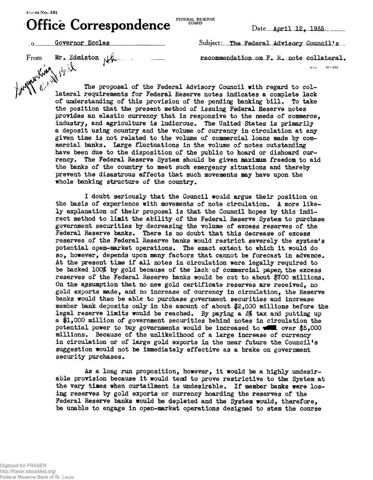## $\bigcap_{F}$   $\bigcap_{F}$   $\bigcap_{F}$   $\bigcap_{F}$   $\bigcap_{F}$   $\bigcap_{F}$   $\bigcap_{F}$   $\bigcap_{F}$   $\bigcap_{F}$  FEDERAL RESERVE **Ofhc e Correspondenc e**

FEDERAL RESERVE **BOARD** 

 $Date$  **April 12, 1935** 

From Mr. Edmiston  $\downarrow\downarrow\downarrow$  - - recommendation on F. R. note collateral.

**t 'i V** »>'° 16—852

From Mr. Edmiston  $\mathcal{H}$  recommendation on F. R. note collateral.<br>From Mr. Edmiston  $\mathcal{H}$  recommendation on F. R. note collateral.<br> $\mathcal{H}$  is the proposal of the Federal Advisory Council is recommendation on F. R. n The proposal of the Federal Advisory Council with regard to collateral requirements for Federal Reserve notes indicates a complete lack of understanding of this provision of the pending banking bill. To take the position that the present method of issuing Federal Reserve notes provides an elastic currency that is responsive to the needs of commerce, industry, and agriculture is ludicrous. The United States is primarily a deposit using country and the volume of currency in circulation at any given time is not related to the volume of commercial loans made by commercial banks. Large fluctuations in the volume of notes outstanding have been due to the disposition of the public to hoard or dishoard currency. The Federal Reserve System should be given maximum freedom to aid the banks of the country to meet such emergency situations and thereby prevent the disastrous effects that such movements may have upon the whole banking structure of the country.

> I doubt seriously that the Council would argue their position on the basis of experience with movements of note circulation. A more likely explanation of their proposal is that the Council hopes by this indirect method to limit the ability of the Federal Reserve System to purchase government securities by decreasing the volume of excess reserves of the Federal Reserve banks. There is no doubt that this decrease of excess reserves of the Federal Reserve banks would restrict severely the system's potential open-market operations. The exact extent to which it would do so, however, depends upon many factors that cannot be forecast in advance. At the present time if all notes in circulation were legally required to be backed 100% by gold because of the lack of commercial paper, the excess reserves of the Federal Reserve banks would be cut to about \$700 millions. On the assumption that no new gold certificate reserves are received, no gold exports made, and no increase of currency in circulation, the Reserve banks would then be able to purchase government securities and increase member bank deposits only in the amount of about #2,000 millions before the legal reserve limits would be reached. By paying a 5% tax and putting up a #1,000 million of government securities behind notes in circulation the potential power to buy governments would be increased to  $\sim$  \$5.000 millions. Because of the unlikelihood of a large increase of currency in circulation or of large gold exports in the near future the Council's suggestion would not be immediately effective as a brake on government security purchases.

As a long run proposition, however, it would be a highly undesirable provision because it would tend to prove restrictive to the System at the very times when curtailment is undesirable. If member banks were losing reserves by gold exports or currency hoarding the reserves of the Federal Reserve banks would be depleted and the System would, therefore, be unable to engage in open-market operations designed to stem the course